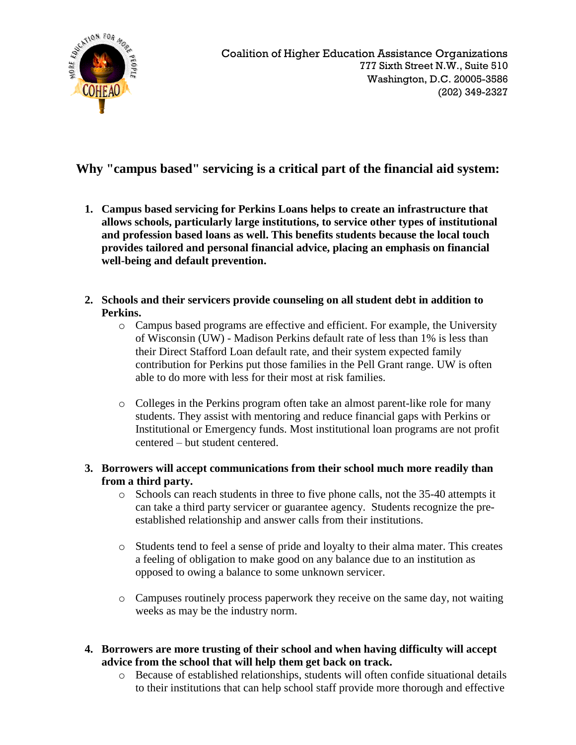

## **Why "campus based" servicing is a critical part of the financial aid system:**

- **1. Campus based servicing for Perkins Loans helps to create an infrastructure that allows schools, particularly large institutions, to service other types of institutional and profession based loans as well. This benefits students because the local touch provides tailored and personal financial advice, placing an emphasis on financial well-being and default prevention.**
- **2. Schools and their servicers provide counseling on all student debt in addition to Perkins.**
	- o Campus based programs are effective and efficient. For example, the University of Wisconsin (UW) - Madison Perkins default rate of less than 1% is less than their Direct Stafford Loan default rate, and their system expected family contribution for Perkins put those families in the Pell Grant range. UW is often able to do more with less for their most at risk families.
	- o Colleges in the Perkins program often take an almost parent-like role for many students. They assist with mentoring and reduce financial gaps with Perkins or Institutional or Emergency funds. Most institutional loan programs are not profit centered – but student centered.
- **3. Borrowers will accept communications from their school much more readily than from a third party.**
	- o Schools can reach students in three to five phone calls, not the 35-40 attempts it can take a third party servicer or guarantee agency. Students recognize the preestablished relationship and answer calls from their institutions.
	- o Students tend to feel a sense of pride and loyalty to their alma mater. This creates a feeling of obligation to make good on any balance due to an institution as opposed to owing a balance to some unknown servicer.
	- o Campuses routinely process paperwork they receive on the same day, not waiting weeks as may be the industry norm.
- **4. Borrowers are more trusting of their school and when having difficulty will accept advice from the school that will help them get back on track.**
	- o Because of established relationships, students will often confide situational details to their institutions that can help school staff provide more thorough and effective